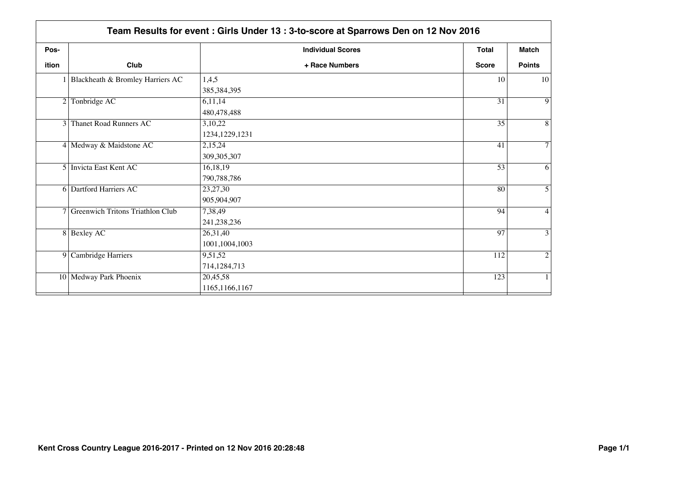| Pos-  |                                    | <b>Individual Scores</b> | <b>Total</b>    | <b>Match</b>   |
|-------|------------------------------------|--------------------------|-----------------|----------------|
| ition | Club                               | + Race Numbers           | <b>Score</b>    | <b>Points</b>  |
|       | 1 Blackheath & Bromley Harriers AC | 1,4,5                    | 10              | 10             |
|       |                                    | 385, 384, 395            |                 |                |
|       | 2 Tonbridge AC                     | 6,11,14                  | 31              | $\overline{9}$ |
|       |                                    | 480,478,488              |                 |                |
|       | 3 Thanet Road Runners AC           | 3,10,22                  | 35              | $\overline{8}$ |
|       |                                    | 1234, 1229, 1231         |                 |                |
|       | 4 Medway & Maidstone AC            | 2,15,24                  | 41              | $\overline{7}$ |
|       |                                    | 309, 305, 307            |                 |                |
|       | 5 Invicta East Kent AC             | 16,18,19                 | $\overline{53}$ | 6              |
|       |                                    | 790,788,786              |                 |                |
|       | <b>6</b> Dartford Harriers AC      | 23,27,30                 | 80              | 5              |
|       |                                    | 905,904,907              |                 |                |
|       | 7 Greenwich Tritons Triathlon Club | 7,38,49                  | 94              | $\overline{4}$ |
|       |                                    | 241, 238, 236            |                 |                |
|       | 8 Bexley AC                        | 26,31,40                 | 97              | $\overline{3}$ |
|       |                                    | 1001,1004,1003           |                 |                |
|       | 9 Cambridge Harriers               | 9,51,52                  | 112             | $\overline{2}$ |
|       |                                    | 714,1284,713             |                 |                |
|       | 10 Medway Park Phoenix             | 20,45,58                 | 123             | 1              |
|       |                                    | 1165, 1166, 1167         |                 |                |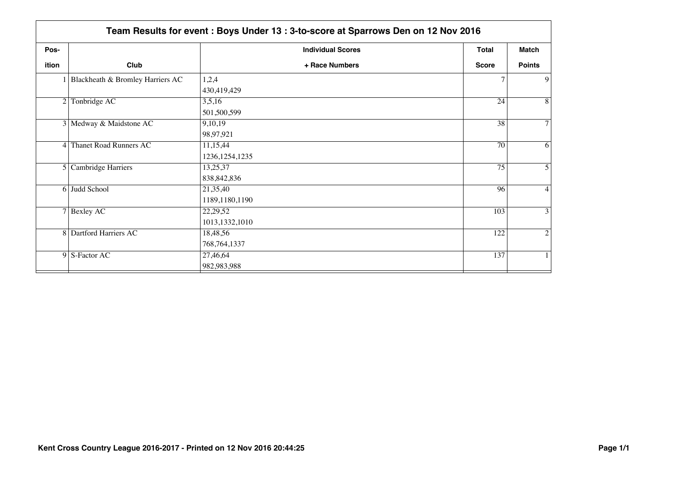| Pos-           |                                    | <b>Individual Scores</b> | Total        | Match          |
|----------------|------------------------------------|--------------------------|--------------|----------------|
| ition          | Club                               | + Race Numbers           | <b>Score</b> | <b>Points</b>  |
|                | 1 Blackheath & Bromley Harriers AC | 1,2,4                    |              | 9              |
|                |                                    | 430,419,429              |              |                |
| 2 <sub>1</sub> | Tonbridge AC                       | 3,5,16                   | 24           | 8              |
|                |                                    | 501,500,599              |              |                |
|                | 3 Medway & Maidstone AC            | 9,10,19                  | 38           | $\overline{7}$ |
|                |                                    | 98,97,921                |              |                |
|                | 4 Thanet Road Runners AC           | 11,15,44                 | 70           | 6              |
|                |                                    | 1236, 1254, 1235         |              |                |
|                | 5 Cambridge Harriers               | 13,25,37                 | 75           | 5              |
|                |                                    | 838, 842, 836            |              |                |
|                | 6 Judd School                      | 21,35,40                 | 96           | $\overline{4}$ |
|                |                                    | 1189,1180,1190           |              |                |
|                | 7 Bexley AC                        | 22,29,52                 | 103          | 3              |
|                |                                    | 1013,1332,1010           |              |                |
|                | 8 Dartford Harriers AC             | 18,48,56                 | 122          | 2              |
|                |                                    | 768, 764, 1337           |              |                |
|                | 9 S-Factor AC                      | 27,46,64                 | 137          |                |
|                |                                    | 982,983,988              |              |                |
|                |                                    |                          |              |                |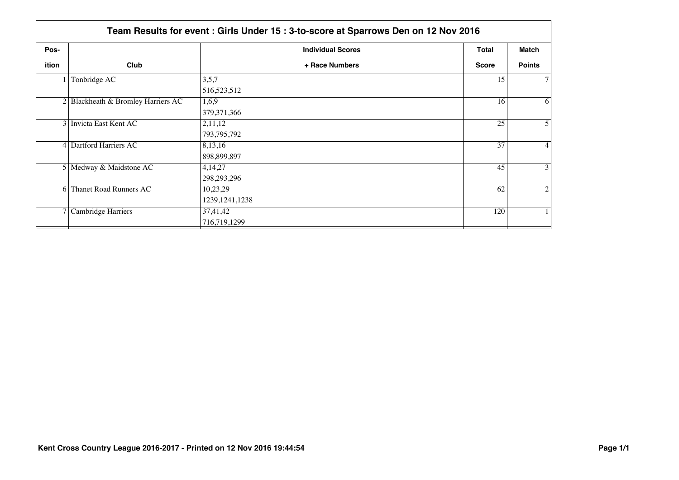|       | Team Results for event: Girls Under 15: 3-to-score at Sparrows Den on 12 Nov 2016 |                          |              |                |  |
|-------|-----------------------------------------------------------------------------------|--------------------------|--------------|----------------|--|
| Pos-  |                                                                                   | <b>Individual Scores</b> | <b>Total</b> | Match          |  |
| ition | Club                                                                              | + Race Numbers           | <b>Score</b> | <b>Points</b>  |  |
|       | Tonbridge AC                                                                      | 3,5,7                    | 15           | $\tau$         |  |
|       |                                                                                   | 516,523,512              |              |                |  |
|       | $2 $ Blackheath & Bromley Harriers AC                                             | 1,6,9                    | 16           | 6              |  |
|       |                                                                                   | 379, 371, 366            |              |                |  |
|       | 3 Invicta East Kent AC                                                            | 2,11,12                  | 25           | 5              |  |
|       |                                                                                   | 793, 795, 792            |              |                |  |
|       | 4 Dartford Harriers AC                                                            | 8, 13, 16                | 37           | $\overline{4}$ |  |
|       |                                                                                   | 898,899,897              |              |                |  |
|       | 5 Medway & Maidstone AC                                                           | 4,14,27                  | 45           | 3              |  |
|       |                                                                                   | 298, 293, 296            |              |                |  |
|       | 6 Thanet Road Runners AC                                                          | 10,23,29                 | 62           | $\overline{2}$ |  |
|       |                                                                                   | 1239, 1241, 1238         |              |                |  |
|       | 7 Cambridge Harriers                                                              | 37,41,42                 | 120          |                |  |
|       |                                                                                   | 716,719,1299             |              |                |  |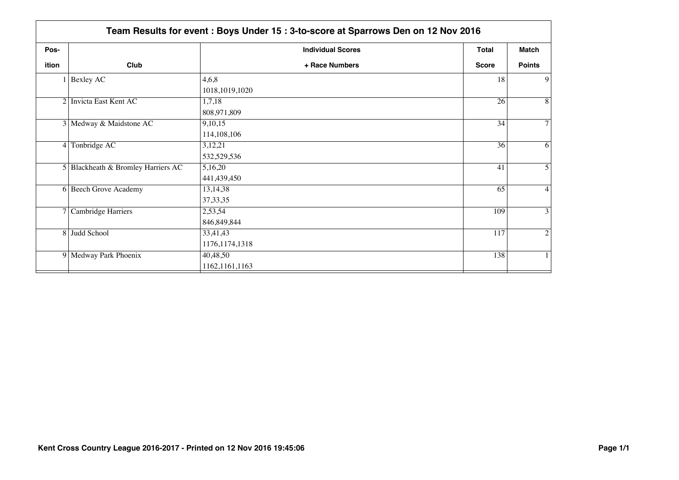|       | Team Results for event: Boys Under 15: 3-to-score at Sparrows Den on 12 Nov 2016 |                              |                 |                |  |
|-------|----------------------------------------------------------------------------------|------------------------------|-----------------|----------------|--|
| Pos-  |                                                                                  | <b>Individual Scores</b>     | Total           | Match          |  |
| ition | Club                                                                             | + Race Numbers               | <b>Score</b>    | <b>Points</b>  |  |
|       | $1$ Bexley AC                                                                    | 4,6,8<br>1018,1019,1020      | 18              | 9              |  |
|       | 2 Invicta East Kent AC                                                           | 1,7,18<br>808,971,809        | 26              | 8              |  |
|       | 3 Medway & Maidstone AC                                                          | 9,10,15<br>114,108,106       | 34              | $\tau$         |  |
|       | 4 Tonbridge AC                                                                   | 3,12,21<br>532,529,536       | $\overline{36}$ | 6              |  |
|       | 5 Blackheath & Bromley Harriers AC                                               | 5,16,20<br>441,439,450       | 41              | 5              |  |
|       | 6 Beech Grove Academy                                                            | 13,14,38<br>37, 33, 35       | 65              | $\overline{4}$ |  |
|       | 7 Cambridge Harriers                                                             | 2,53,54<br>846, 849, 844     | 109             | 3              |  |
|       | 8 Judd School                                                                    | 33,41,43<br>1176, 1174, 1318 | 117             | $\overline{2}$ |  |
|       | 9 Medway Park Phoenix                                                            | 40,48,50<br>1162, 1161, 1163 | 138             | $\mathbf{1}$   |  |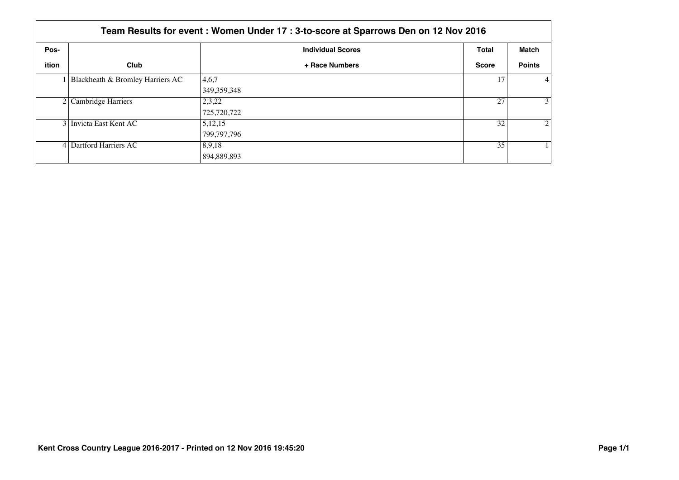|       | Team Results for event: Women Under 17: 3-to-score at Sparrows Den on 12 Nov 2016 |                          |              |                |  |  |
|-------|-----------------------------------------------------------------------------------|--------------------------|--------------|----------------|--|--|
| Pos-  |                                                                                   | <b>Individual Scores</b> | Total        | Match          |  |  |
| ition | Club                                                                              | + Race Numbers           | <b>Score</b> | <b>Points</b>  |  |  |
|       | Blackheath & Bromley Harriers AC                                                  | 4,6,7                    | 17           | $\overline{4}$ |  |  |
|       |                                                                                   | 349,359,348              |              |                |  |  |
|       | 2 Cambridge Harriers                                                              | 2,3,22                   | 27           | 3              |  |  |
|       |                                                                                   | 725,720,722              |              |                |  |  |
|       | 3 Invicta East Kent AC                                                            | 5, 12, 15                | 32           | 2              |  |  |
|       |                                                                                   | 799,797,796              |              |                |  |  |
|       | 4 Dartford Harriers AC                                                            | 8,9,18                   | 35           |                |  |  |
|       |                                                                                   | 894,889,893              |              |                |  |  |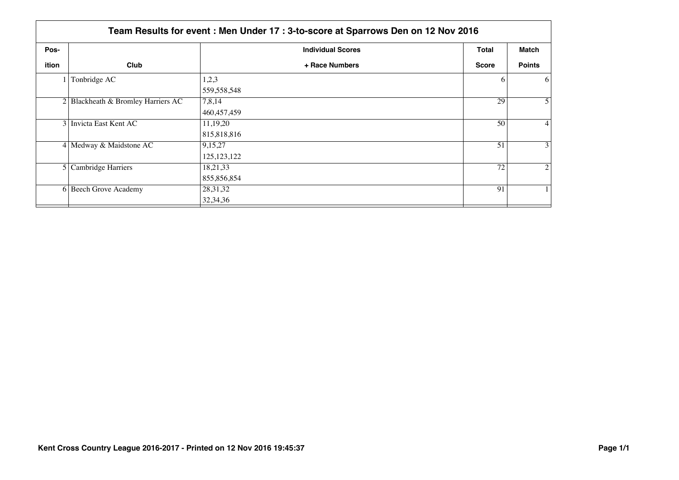|       | Team Results for event: Men Under 17: 3-to-score at Sparrows Den on 12 Nov 2016 |                          |              |               |  |  |
|-------|---------------------------------------------------------------------------------|--------------------------|--------------|---------------|--|--|
| Pos-  |                                                                                 | <b>Individual Scores</b> | Total        | Match         |  |  |
| ition | Club                                                                            | + Race Numbers           | <b>Score</b> | <b>Points</b> |  |  |
|       | Tonbridge AC                                                                    | 1,2,3                    | 6            | 6             |  |  |
|       |                                                                                 | 559,558,548              |              |               |  |  |
|       | 2 Blackheath & Bromley Harriers AC                                              | 7,8,14                   | 29           | 5             |  |  |
|       |                                                                                 | 460, 457, 459            |              |               |  |  |
|       | 3 Invicta East Kent AC                                                          | 11,19,20                 | 50           | 4             |  |  |
|       |                                                                                 | 815,818,816              |              |               |  |  |
|       | 4 Medway & Maidstone AC                                                         | 9,15,27                  | 51           | 3             |  |  |
|       |                                                                                 | 125, 123, 122            |              |               |  |  |
|       | 5 Cambridge Harriers                                                            | 18,21,33                 | 72           | 2             |  |  |
|       |                                                                                 | 855,856,854              |              |               |  |  |
|       | 6 Beech Grove Academy                                                           | 28, 31, 32               | 91           |               |  |  |
|       |                                                                                 | 32, 34, 36               |              |               |  |  |
|       |                                                                                 |                          |              |               |  |  |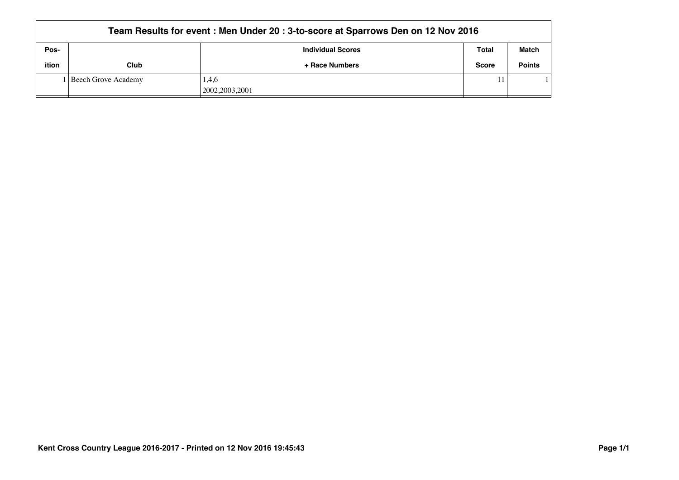|       | Team Results for event : Men Under 20 : 3-to-score at Sparrows Den on 12 Nov 2016 |                          |              |               |  |  |
|-------|-----------------------------------------------------------------------------------|--------------------------|--------------|---------------|--|--|
| Pos-  |                                                                                   | <b>Individual Scores</b> | Total        | <b>Match</b>  |  |  |
| ition | Club                                                                              | + Race Numbers           | <b>Score</b> | <b>Points</b> |  |  |
|       | Beech Grove Academy                                                               | 1,4,6                    |              |               |  |  |
|       |                                                                                   | 2002, 2003, 2001         |              |               |  |  |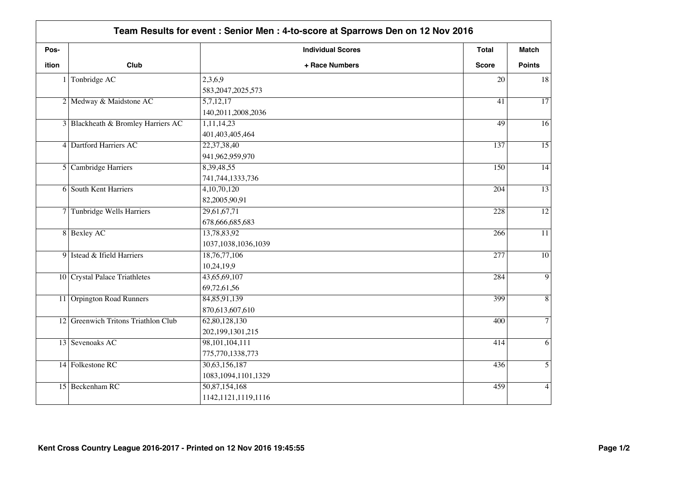| Pos-         |                                     | <b>Individual Scores</b> | <b>Total</b>     | <b>Match</b>    |
|--------------|-------------------------------------|--------------------------|------------------|-----------------|
| <b>ition</b> | Club                                | + Race Numbers           | <b>Score</b>     | <b>Points</b>   |
|              | 1 Tonbridge AC                      | 2,3,6,9                  | 20               | 18              |
|              |                                     | 583, 2047, 2025, 573     |                  |                 |
|              | 2 Medway & Maidstone AC             | 5,7,12,17                | 41               | $\overline{17}$ |
|              |                                     | 140,2011,2008,2036       |                  |                 |
|              | 3 Blackheath & Bromley Harriers AC  | 1,11,14,23               | 49               | $\overline{16}$ |
|              |                                     | 401,403,405,464          |                  |                 |
|              | 4 Dartford Harriers AC              | 22,37,38,40              | 137              | $\overline{15}$ |
|              |                                     | 941,962,959,970          |                  |                 |
|              | 5 Cambridge Harriers                | 8,39,48,55               | 150              | $\overline{14}$ |
|              |                                     | 741, 744, 1333, 736      |                  |                 |
|              | <b>6</b> South Kent Harriers        | 4,10,70,120              | $\overline{204}$ | $\overline{13}$ |
|              |                                     | 82,2005,90,91            |                  |                 |
|              | 7 Tunbridge Wells Harriers          | 29,61,67,71              | 228              | $\overline{12}$ |
|              |                                     | 678,666,685,683          |                  |                 |
|              | 8 Bexley AC                         | 13,78,83,92              | 266              | $\overline{11}$ |
|              |                                     | 1037, 1038, 1036, 1039   |                  |                 |
|              | 9 Istead & Ifield Harriers          | 18, 76, 77, 106          | 277              | $\overline{10}$ |
|              |                                     | 10,24,19,9               |                  |                 |
|              | 10 Crystal Palace Triathletes       | 43,65,69,107             | 284              | $\overline{9}$  |
|              |                                     | 69,72,61,56              |                  |                 |
|              | 11 Orpington Road Runners           | 84,85,91,139             | 399              | $\overline{8}$  |
|              |                                     | 870,613,607,610          |                  |                 |
|              | 12 Greenwich Tritons Triathlon Club | 62,80,128,130            | 400              | $\overline{7}$  |
|              |                                     | 202, 199, 1301, 215      |                  |                 |
|              | 13 Sevenoaks AC                     | 98, 101, 104, 111        | 414              | $\overline{6}$  |
|              |                                     | 775,770,1338,773         |                  |                 |
|              | 14 Folkestone RC                    | 30,63,156,187            | 436              | $\overline{5}$  |
|              |                                     | 1083, 1094, 1101, 1329   |                  |                 |
|              | 15 Beckenham RC                     | 50,87,154,168            | 459              | $\overline{4}$  |
|              |                                     | 1142, 1121, 1119, 1116   |                  |                 |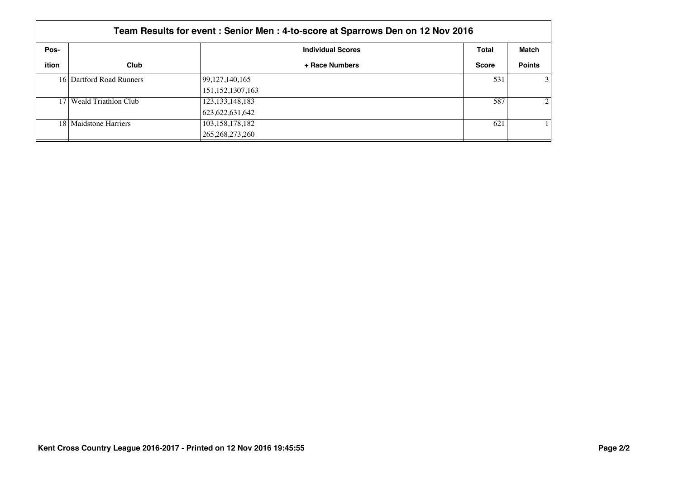|       | Team Results for event: Senior Men: 4-to-score at Sparrows Den on 12 Nov 2016 |                          |              |                             |  |  |
|-------|-------------------------------------------------------------------------------|--------------------------|--------------|-----------------------------|--|--|
| Pos-  |                                                                               | <b>Individual Scores</b> | Total        | Match                       |  |  |
| ition | Club                                                                          | + Race Numbers           | <b>Score</b> | <b>Points</b>               |  |  |
|       | 16 Dartford Road Runners                                                      | 99, 127, 140, 165        | 531          | 3                           |  |  |
|       |                                                                               | 151, 152, 1307, 163      |              |                             |  |  |
|       | 17 Weald Triathlon Club                                                       | 123, 133, 148, 183       | 587          | $\mathcal{D}_{\mathcal{L}}$ |  |  |
|       |                                                                               | 623, 622, 631, 642       |              |                             |  |  |
|       | 18   Maidstone Harriers                                                       | 103,158,178,182          | 621          |                             |  |  |
|       |                                                                               | 265, 268, 273, 260       |              |                             |  |  |